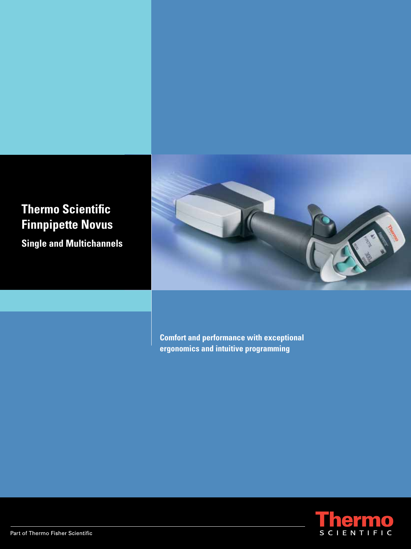# **Thermo Scientific Finnpipette Novus**

**Single and Multichannels** 



**Comfort and performance with exceptional ergonomics and intuitive programming**

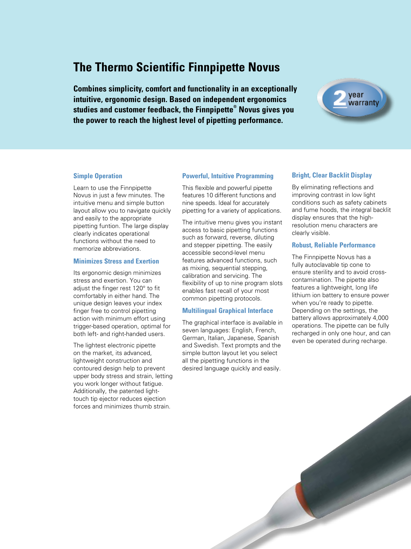## **The Thermo Scientific Finnpipette Novus**

**Combines simplicity, comfort and functionality in an exceptionally intuitive, ergonomic design. Based on independent ergonomics studies and customer feedback, the Finnpipette® Novus gives you the power to reach the highest level of pipetting performance.** 



### **Simple Operation**

Learn to use the Finnpipette Novus in just a few minutes. The intuitive menu and simple button layout allow you to navigate quickly and easily to the appropriate pipetting funtion. The large display clearly indicates operational functions without the need to memorize abbreviations.

### **Minimizes Stress and Exertion**

Its ergonomic design minimizes stress and exertion. You can adjust the finger rest 120° to fit comfortably in either hand. The unique design leaves your index finger free to control pipetting action with minimum effort using trigger-based operation, optimal for both left- and right-handed users.

The lightest electronic pipette on the market, its advanced, lightweight construction and contoured design help to prevent upper body stress and strain, letting you work longer without fatigue. Additionally, the patented lighttouch tip ejector reduces ejection forces and minimizes thumb strain.

### **Powerful, Intuitive Programming**

This flexible and powerful pipette features 10 different functions and nine speeds. Ideal for accurately pipetting for a variety of applications.

The intuitive menu gives you instant access to basic pipetting functions such as forward, reverse, diluting and stepper pipetting. The easily accessible second-level menu features advanced functions, such as mixing, sequential stepping, calibration and servicing. The flexibility of up to nine program slots enables fast recall of your most common pipetting protocols.

### **Multilingual Graphical Interface**

The graphical interface is available in seven languages: English, French, German, Italian, Japanese, Spanish and Swedish. Text prompts and the simple button layout let you select all the pipetting functions in the desired language quickly and easily.

### **Bright, Clear Backlit Display**

By eliminating reflections and improving contrast in low light conditions such as safety cabinets and fume hoods, the integral backlit display ensures that the highresolution menu characters are clearly visible.

### **Robust, Reliable Performance**

The Finnpipette Novus has a fully autoclavable tip cone to ensure sterility and to avoid crosscontamination. The pipette also features a lightweight, long life lithium ion battery to ensure power when you're ready to pipette. Depending on the settings, the battery allows approximately 4,000 operations. The pipette can be fully recharged in only one hour, and can even be operated during recharge.

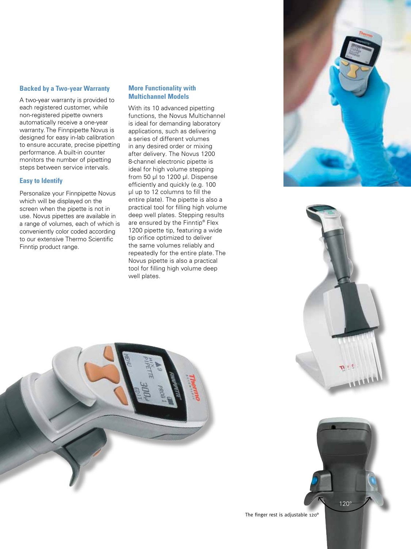### **Backed by a Two-year Warranty**

A two-year warranty is provided to each registered customer, while non-registered pipette owners automatically receive a one-year warranty. The Finnpipette Novus is designed for easy in-lab calibration to ensure accurate, precise pipetting performance. A built-in counter monitors the number of pipetting steps between service intervals.

### **Easy to Identify**

Personalize your Finnpipette Novus which will be displayed on the screen when the pipette is not in use. Novus pipettes are available in a range of volumes, each of which is conveniently color coded according to our extensive Thermo Scientific Finntip product range.

### **More Functionality with Multichannel Models**

With its 10 advanced pipetting functions, the Novus Multichannel is ideal for demanding laboratory applications, such as delivering a series of different volumes in any desired order or mixing after delivery. The Novus 1200 8-channel electronic pipette is ideal for high volume stepping from 50 μl to 1200 μl. Dispense efficiently and quickly (e.g. 100 μl up to 12 columns to fill the entire plate). The pipette is also a practical tool for filling high volume deep well plates. Stepping results are ensured by the Finntip® Flex 1200 pipette tip, featuring a wide tip orifice optimized to deliver the same volumes reliably and repeatedly for the entire plate. The Novus pipette is also a practical tool for filling high volume deep well plates.





120°



The finger rest is adjustable 120°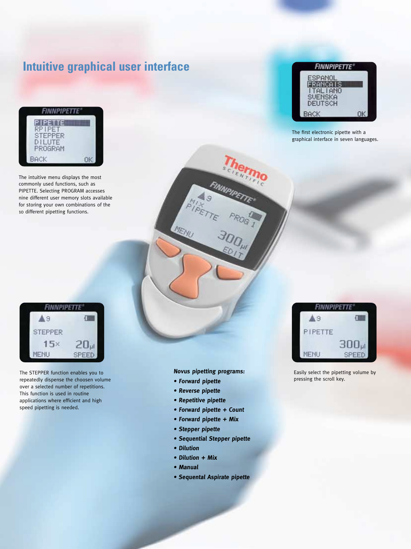# **Intuitive graphical user interface**



The intuitive menu displays the most commonly used functions, such as PIPETTE. Selecting PROGRAM accesses nine different user memory slots available for storing your own combinations of the 10 different pipetting functions.



The first electronic pipette with a graphical interface in seven languages.



The STEPPER function enables you to repeatedly dispense the choosen volume over a selected number of repetitions. This function is used in routine applications where efficient and high speed pipetting is needed.

**Novus pipetting programs:**

**• Forward pipette**

TEMU

- **Reverse pipette**
- **Repetitive pipette**
- **Forward pipette + Count**
- **Forward pipette + Mix**
- **Stepper pipette**
- **Sequential Stepper pipette**
- **Dilution**
- **Dilution + Mix**
- **Manual**
- **Sequental Aspirate pipette**



Easily select the pipetting volume by pressing the scroll key.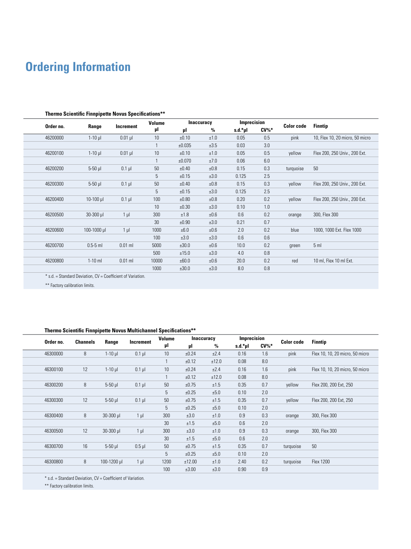# **Ordering Information**

|           | Imprecision<br><b>Inaccuracy</b><br>Volume                  |              |                 |        |           |         |         |                   |                                 |
|-----------|-------------------------------------------------------------|--------------|-----------------|--------|-----------|---------|---------|-------------------|---------------------------------|
| Order no. | Range                                                       | Increment    | μl              | μl     | $\%$      | s.d.*µl | $CV\%*$ | <b>Color code</b> | Finntip                         |
| 46200000  | $1-10$ $\mu$                                                | $0.01$ µ     | 10 <sup>°</sup> | ±0.10  | ±1.0      | 0.05    | 0.5     | pink              | 10, Flex 10, 20 micro, 50 micro |
|           |                                                             |              | 1               | ±0.035 | ±3.5      | 0.03    | 3.0     |                   |                                 |
| 46200100  | $1-10$ $\mu$                                                | $0.01$ $\mu$ | 10              | ±0.10  | ±1.0      | 0.05    | 0.5     | yellow            | Flex 200, 250 Univ., 200 Ext.   |
|           |                                                             |              | $\mathbf{1}$    | ±0.070 | ±7.0      | 0.06    | 6.0     |                   |                                 |
| 46200200  | $5-50$ $\mu$                                                | $0.1$ µl     | $50\,$          | ±0.40  | ±0.8      | 0.15    | 0.3     | turquoise         | 50                              |
|           |                                                             |              | 5               | ±0.15  | ±3.0      | 0.125   | 2.5     |                   |                                 |
| 46200300  | $5-50$ $\mu$                                                | $0.1$ µ      | 50              | ±0.40  | ±0.8      | 0.15    | 0.3     | yellow            | Flex 200, 250 Univ., 200 Ext.   |
|           |                                                             |              | 5               | ±0.15  | ±3.0      | 0.125   | 2.5     |                   |                                 |
| 46200400  | $10-100$ $\mu$                                              | $0.1$ µ      | 100             | ±0.80  | ±0.8      | 0.20    | 0.2     | yellow            | Flex 200, 250 Univ., 200 Ext.   |
|           |                                                             |              | 10 <sup>°</sup> | ±0.30  | ±3.0      | 0.10    | 1.0     |                   |                                 |
| 46200500  | $30 - 300$ $\mu$                                            | $1 \mu$      | 300             | ±1.8   | $\pm 0.6$ | 0.6     | 0.2     | orange            | 300, Flex 300                   |
|           |                                                             |              | 30              | ±0.90  | ±3.0      | 0.21    | 0.7     |                   |                                 |
| 46200600  | $100 - 1000$ µ                                              | $1 \mu$      | 1000            | ±6.0   | ±0.6      | 2.0     | 0.2     | blue              | 1000, 1000 Ext. Flex 1000       |
|           |                                                             |              | 100             | ±3.0   | ±3.0      | 0.6     | 0.6     |                   |                                 |
| 46200700  | $0.5-5$ ml                                                  | $0.01$ ml    | 5000            | ±30.0  | ±0.6      | 10.0    | 0.2     | green             | 5 <sub>m</sub>                  |
|           |                                                             |              | 500             | ±15.0  | ±3.0      | 4.0     | 0.8     |                   |                                 |
| 46200800  | $1-10$ ml                                                   | $0.01$ ml    | 10000           | ±60.0  | ±0.6      | 20.0    | 0.2     | red               | 10 ml, Flex 10 ml Ext.          |
|           |                                                             |              | 1000            | ±30.0  | ±3.0      | 8.0     | 0.8     |                   |                                 |
|           | * s.d. = Standard Deviation. CV = Coefficient of Variation. |              |                 |        |           |         |         |                   |                                 |

#### **Thermo Scientific Finnpipette Novus Specifications\*\***

\* s.d. = Standard Deviation, CV = Coefficient of Variation.

\*\* Factory calibration limits.

### **Thermo Scientific Finnpipette Novus Multichannel Specifications\*\***

| Order no. | <b>Channels</b> |              | Increment | Volume | <b>Inaccuracy</b> |       | Imprecision |         | <b>Color code</b> | <b>Finntip</b>                  |
|-----------|-----------------|--------------|-----------|--------|-------------------|-------|-------------|---------|-------------------|---------------------------------|
|           |                 | Range        |           | μI     | μl                | $\%$  | s.d.*µl     | $CV\%*$ |                   |                                 |
| 46300000  | 8               | $1-10$ $\mu$ | $0.1$ µ   | 10     | ±0.24             | ±2.4  | 0.16        | 1.6     | pink              | Flex 10, 10, 20 micro, 50 micro |
|           |                 |              |           | 1      | ±0.12             | ±12.0 | 0.08        | 8.0     |                   |                                 |
| 46300100  | 12              | $1-10$ $\mu$ | $0.1$ µ   | 10     | ±0.24             | ±2.4  | 0.16        | 1.6     | pink              | Flex 10, 10, 20 micro, 50 micro |
|           |                 |              |           | 1      | ±0.12             | ±12.0 | 0.08        | 8.0     |                   |                                 |
| 46300200  | 8               | $5-50$ $\mu$ | $0.1$ µ   | 50     | ±0.75             | ±1.5  | 0.35        | 0.7     | yellow            | Flex 200, 200 Ext, 250          |
|           |                 |              |           | 5      | ±0.25             | ±5.0  | 0.10        | 2.0     |                   |                                 |
| 46300300  | 12              | $5-50$ $\mu$ | $0.1$ µ   | 50     | ±0.75             | ±1.5  | 0.35        | 0.7     | yellow            | Flex 200, 200 Ext, 250          |
|           |                 |              |           | 5      | ±0.25             | ±5.0  | 0.10        | 2.0     |                   |                                 |
| 46300400  | 8               | $30 - 300$ µ | $1 \mu$   | 300    | ±3.0              | ±1.0  | 0.9         | 0.3     | orange            | 300, Flex 300                   |
|           |                 |              |           | 30     | ±1.5              | ±5.0  | 0.6         | 2.0     |                   |                                 |
| 46300500  | 12              | 30-300 µl    | $1 \mu$   | 300    | ±3.0              | ±1.0  | 0.9         | 0.3     | orange            | 300, Flex 300                   |
|           |                 |              |           | 30     | ±1.5              | ±5.0  | 0.6         | 2.0     |                   |                                 |
| 46300700  | 16              | $5-50$ $\mu$ | $0.5$ µ   | 50     | ±0.75             | ±1.5  | 0.35        | 0.7     | turquoise         | 50                              |
|           |                 |              |           | 5      | ±0.25             | ±5.0  | 0.10        | 2.0     |                   |                                 |
| 46300800  | 8               | 100-1200 µl  | $1 \mu$   | 1200   | ±12.00            | ±1.0  | 2.40        | 0.2     | turquoise         | <b>Flex 1200</b>                |
|           |                 |              |           | 100    | ±3.00             | ±3.0  | 0.90        | 0.9     |                   |                                 |
|           |                 |              |           |        |                   |       |             |         |                   |                                 |

\* s.d. = Standard Deviation, CV = Coefficient of Variation.

\*\* Factory calibration limits.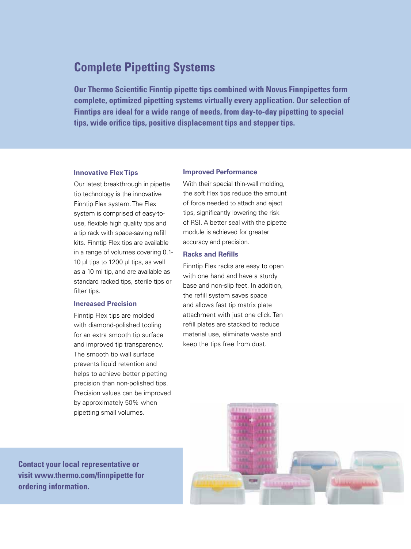### **Complete Pipetting Systems**

**Our Thermo Scientific Finntip pipette tips combined with Novus Finnpipettes form complete, optimized pipetting systems virtually every application. Our selection of Finntips are ideal for a wide range of needs, from day-to-day pipetting to special tips, wide orifice tips, positive displacement tips and stepper tips.**

### **Innovative Flex Tips**

Our latest breakthrough in pipette tip technology is the innovative Finntip Flex system. The Flex system is comprised of easy-touse, flexible high quality tips and a tip rack with space-saving refill kits. Finntip Flex tips are available in a range of volumes covering 0.1- 10 µl tips to 1200 µl tips, as well as a 10 ml tip, and are available as standard racked tips, sterile tips or filter tips.

### **Increased Precision**

Finntip Flex tips are molded with diamond-polished tooling for an extra smooth tip surface and improved tip transparency. The smooth tip wall surface prevents liquid retention and helps to achieve better pipetting precision than non-polished tips. Precision values can be improved by approximately 50% when pipetting small volumes.

### **Improved Performance**

With their special thin-wall molding, the soft Flex tips reduce the amount of force needed to attach and eject tips, significantly lowering the risk of RSI. A better seal with the pipette module is achieved for greater accuracy and precision.

### **Racks and Refills**

Finntip Flex racks are easy to open with one hand and have a sturdy base and non-slip feet. In addition, the refill system saves space and allows fast tip matrix plate attachment with just one click. Ten refill plates are stacked to reduce material use, eliminate waste and keep the tips free from dust.

**Contact your local representative or visit www.thermo.com/finnpipette for ordering information.**

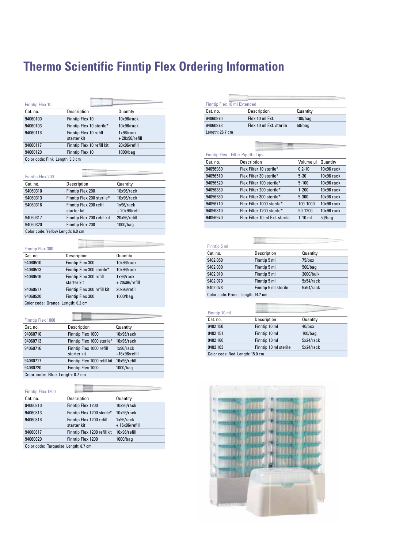#### 94060816 Finntip Flex 1200 refill rmal **Thermo Scientific Finntip Flex Ordering Information** 'inn Information starter kit

| <b>Finntip Flex 10</b>          |                            |                  |
|---------------------------------|----------------------------|------------------|
| Cat. no.                        | Description                | Quantity         |
| 94060100                        | Finntip Flex 10            | 10x96/rack       |
| 94060103                        | Finntip Flex 10 sterile*   | 10x96/rack       |
| 94060116                        | Finntip Flex 10 refill     | 1x96/rack        |
|                                 | starter kit                | $+20x96$ /refill |
| 94060117                        | Finntip Flex 10 refill kit | 20x96/refill     |
| 94060120                        | <b>Finntip Flex 10</b>     | $1000/b$ aq      |
| Color code: Pink Length: 3.3 cm |                            |                  |

| <b>Finntip Flex 200</b>           |                                        |                                  |
|-----------------------------------|----------------------------------------|----------------------------------|
| Cat. no.                          | Description                            | Quantity                         |
| 94060310                          | Finntip Flex 200                       | 10x96/rack                       |
| 94060313                          | Finntip Flex 200 sterile*              | 10x96/rack                       |
| 94060316                          | Finntip Flex 200 refill<br>starter kit | 1x96/rack<br>$+20x96$ /refill    |
| 94060317                          | Finntip Flex 200 refill kit            | 20x96/refill                     |
| 94060320                          | <b>Finntip Flex 200</b>                | 1000/bag                         |
| Color code: Yellow Length: 6.0 cm |                                        |                                  |
|                                   |                                        |                                  |
|                                   |                                        |                                  |
| <b>Finntip Flex 300</b>           |                                        |                                  |
| Cat. no.                          | Description                            | Quantity                         |
| 94060510                          | Finntip Flex 300                       | 10x96/rack                       |
| 94060513                          | Finntip Flex 300 sterile*              | 10x96/rack                       |
| 94060516                          | Finntip Flex 300 refill<br>starter kit | $1x96$ /rack<br>$+20x96$ /refill |
| 94060517                          | Finntip Flex 300 refill kit            | 20x96/refill                     |
| 94060520                          | <b>Finntip Flex 300</b>                | $1000/b$ aq                      |

| <b>Finntip Flex 300</b> |                                        |                                  |
|-------------------------|----------------------------------------|----------------------------------|
| Cat. no.                | Description                            | Quantity                         |
| 94060510                | Finntip Flex 300                       | 10x96/rack                       |
| 94060513                | Finntip Flex 300 sterile*              | 10x96/rack                       |
| 94060516                | Finntip Flex 300 refill<br>starter kit | $1x96$ /rack<br>$+20x96$ /refill |
| 94060517                | Finntip Flex 300 refill kit            | 20x96/refill                     |
| 94060520                | Finntip Flex 300                       | $1000/b$ aq                      |
| ___<br>$\sim$           | .                                      |                                  |

| Finntip Flex 1000               |                                         |                               |
|---------------------------------|-----------------------------------------|-------------------------------|
| Cat. no.                        | Description                             | Quantity                      |
| 94060710                        | Finntip Flex 1000                       | 10x96/rack                    |
| 94060713                        | Finntip Flex 1000 sterile*              | 10x96/rack                    |
| 94060716                        | Finntip Flex 1000 refill<br>starter kit | 1x96/rack<br>$+16x96$ /refill |
| 94060717                        | Finntip Flex 1000 refill kit            | 16x96/refill                  |
| 94060720                        | Finntip Flex 1000                       | $1000/b$ aq                   |
| Color code: Blue Length: 8.7 cm |                                         |                               |

| <b>Finntip Flex 1200</b>             |                                         |                               |
|--------------------------------------|-----------------------------------------|-------------------------------|
| Cat. no.                             | Description                             | Quantity                      |
| 94060810                             | Finntip Flex 1200                       | 10x96/rack                    |
| 94060813                             | Finntip Flex 1200 sterile*              | 10x96/rack                    |
| 94060816                             | Finntip Flex 1200 refill<br>starter kit | 1x96/rack<br>$+16x96$ /refill |
| 94060817                             | Finntip Flex 1200 refill kit            | 16x96/refill                  |
| 94060820                             | Finntip Flex 1200                       | $1000/b$ aq                   |
| Color code: Turquoise Length: 8.7 cm |                                         |                               |

| <b>Finntip Flex 10 ml Extended</b> |                                           |            |              |  |  |
|------------------------------------|-------------------------------------------|------------|--------------|--|--|
| Cat. no.                           | Description                               | Quantity   |              |  |  |
| 94060970                           | Flex 10 ml Fxt                            | $100/b$ aq |              |  |  |
| 94060973                           | Flex 10 ml Ext. sterile                   | $50/b$ aq  |              |  |  |
| Length: 26.7 cm                    |                                           |            |              |  |  |
|                                    |                                           |            |              |  |  |
|                                    |                                           |            |              |  |  |
|                                    |                                           |            |              |  |  |
|                                    | <b>Finntip Flex - Filter Pipette Tips</b> |            |              |  |  |
| Cat. no.                           | Description                               | Volume ul  | Quantity     |  |  |
| 94056980                           | Flex Filter 10 sterile*                   | $0.2 - 10$ | $10x96$ rack |  |  |
| 94056510                           | Flex Filter 30 sterile*                   | $5 - 30$   | $10x96$ rack |  |  |
| 94056520                           | Flex Filter 100 sterile*                  | $5 - 100$  | $10x96$ rack |  |  |
| 94056380                           | Flex Filter 200 sterile*                  | $1 - 200$  | $10x96$ rack |  |  |
| 94056580                           | Flex Filter 300 sterile*                  | $5 - 300$  | $10x96$ rack |  |  |
| 94056710                           | Flex Filter 1000 sterile*                 | 100-1000   | $10x96$ rack |  |  |
| 94056810                           | Flex Filter 1200 sterile*                 | 50-1200    | $10x96$ rack |  |  |
| 94056970                           | Flex Filter 10 ml Ext. sterile            | $1-10$ ml  | $50/b$ aq    |  |  |

| Finntip 5 ml                      |                      |            |
|-----------------------------------|----------------------|------------|
| Cat. no.                          | Description          | Quantity   |
| 9402 050                          | Finntip 5 ml         | 75/box     |
| 9402 030                          | Finntip 5 ml         | $500/b$ aq |
| 9402 010                          | Finntip 5 ml         | 3000/bulk  |
| 9402 070                          | Finntip 5 ml         | 5x54/rack  |
| 9402 073                          | Finntip 5 ml sterile | 5x54/rack  |
| Color code: Green Length: 14.7 cm |                      |            |

| Finntip 10 ml                  |                       |            |
|--------------------------------|-----------------------|------------|
| Cat. no.                       | Description           | Quantity   |
| 9402 150                       | Finntip 10 ml         | $40$ /box  |
| 9402 151                       | Finntip 10 ml         | $100/b$ aq |
| 9402 160                       | Finntip 10 ml         | 5x24/rack  |
| 9402 163                       | Finntip 10 ml sterile | 5x24/rack  |
| Color code: Rod Longth: 150 cm |                       |            |

r code: Red Length: 15.0  $\,$